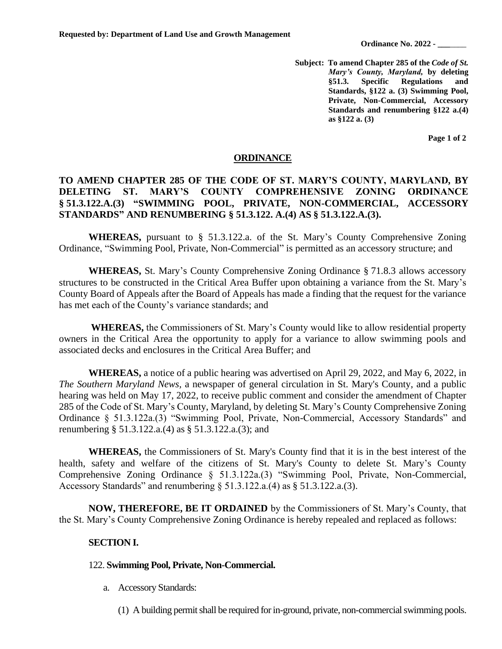**Ordinance No. 2022 - \_\_\_**\_\_\_\_

**Subject: To amend Chapter 285 of the** *Code of St. Mary's County, Maryland,* **by deleting §51.3. Specific Regulations and Standards, §122 a. (3) Swimming Pool, Private, Non-Commercial, Accessory Standards and renumbering §122 a.(4) as §122 a. (3)**

**Page 1 of 2**

## **ORDINANCE**

## **TO AMEND CHAPTER 285 OF THE CODE OF ST. MARY'S COUNTY, MARYLAND***,* **BY DELETING ST. MARY'S COUNTY COMPREHENSIVE ZONING ORDINANCE § 51.3.122.A.(3) "SWIMMING POOL, PRIVATE, NON-COMMERCIAL, ACCESSORY STANDARDS" AND RENUMBERING § 51.3.122. A.(4) AS § 51.3.122.A.(3).**

**WHEREAS,** pursuant to § 51.3.122.a. of the St. Mary's County Comprehensive Zoning Ordinance, "Swimming Pool, Private, Non-Commercial" is permitted as an accessory structure; and

**WHEREAS,** St. Mary's County Comprehensive Zoning Ordinance § 71.8.3 allows accessory structures to be constructed in the Critical Area Buffer upon obtaining a variance from the St. Mary's County Board of Appeals after the Board of Appeals has made a finding that the request for the variance has met each of the County's variance standards; and

**WHEREAS,** the Commissioners of St. Mary's County would like to allow residential property owners in the Critical Area the opportunity to apply for a variance to allow swimming pools and associated decks and enclosures in the Critical Area Buffer; and

**WHEREAS,** a notice of a public hearing was advertised on April 29, 2022, and May 6, 2022, in *The Southern Maryland News,* a newspaper of general circulation in St. Mary's County, and a public hearing was held on May 17, 2022, to receive public comment and consider the amendment of Chapter 285 of the Code of St. Mary's County, Maryland, by deleting St. Mary's County Comprehensive Zoning Ordinance § 51.3.122a.(3) "Swimming Pool, Private, Non-Commercial, Accessory Standards" and renumbering § 51.3.122.a.(4) as § 51.3.122.a.(3); and

**WHEREAS,** the Commissioners of St. Mary's County find that it is in the best interest of the health, safety and welfare of the citizens of St. Mary's County to delete St. Mary's County Comprehensive Zoning Ordinance § 51.3.122a.(3) "Swimming Pool, Private, Non-Commercial, Accessory Standards" and renumbering  $\S$  51.3.122.a.(4) as  $\S$  51.3.122.a.(3).

**NOW, THEREFORE, BE IT ORDAINED** by the Commissioners of St. Mary's County, that the St. Mary's County Comprehensive Zoning Ordinance is hereby repealed and replaced as follows:

## **SECTION I.**

## 122. **Swimming Pool, Private, Non-Commercial.**

- a. Accessory Standards:
	- (1) A building permit shall be required for in-ground, private, non-commercial swimming pools.